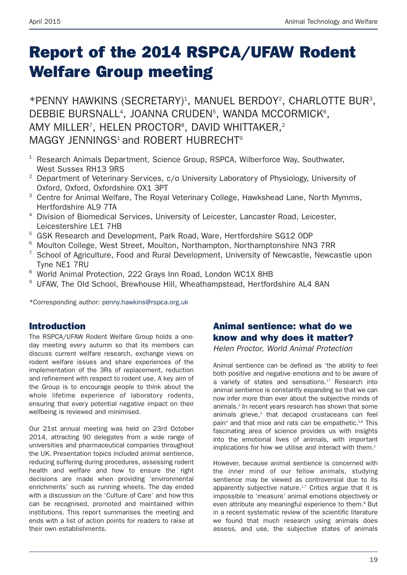# **Report of the 2014 RSPCA/UFAW Rodent Welfare Group meeting**

\*PENNY HAWKINS (SECRETARY)<sup>1</sup>, MANUEL BERDOY<sup>2</sup>, CHARLOTTE BUR<sup>3</sup>, DEBBIE BURSNALL<sup>4</sup>, JOANNA CRUDEN<sup>5</sup>, WANDA MCCORMICK<sup>6</sup>, AMY MILLER<sup>7</sup>, HELEN PROCTOR<sup>8</sup>, DAVID WHITTAKER.<sup>2</sup> MAGGY JENNINGS<sup>1</sup> and ROBERT HUBRECHT<sup>9</sup>

- $1$  Research Animals Department, Science Group, RSPCA, Wilberforce Way, Southwater, West Sussex RH13 9RS
- <sup>2</sup> Department of Veterinary Services, c/o University Laboratory of Physiology, University of Oxford, Oxford, Oxfordshire OX1 3PT
- <sup>3</sup> Centre for Animal Welfare, The Royal Veterinary College, Hawkshead Lane, North Mymms, Hertfordshire AL9 7TA
- <sup>4</sup> Division of Biomedical Services, University of Leicester, Lancaster Road, Leicester, Leicestershire LE1 7HB
- <sup>5</sup> GSK Research and Development, Park Road, Ware, Hertfordshire SG12 0DP
- <sup>6</sup> Moulton College, West Street, Moulton, Northampton, Northamptonshire NN3 7RR
- $7$  School of Agriculture, Food and Rural Development, University of Newcastle, Newcastle upon Tyne NE1 7RU
- <sup>8</sup> World Animal Protection, 222 Grays Inn Road, London WC1X 8HB
- <sup>9</sup> UFAW, The Old School, Brewhouse Hill, Wheathampstead, Hertfordshire AL4 8AN

\*Corresponding author: penny.hawkins@rspca.org.uk

### **Introduction**

The RSPCA/UFAW Rodent Welfare Group holds a oneday meeting every autumn so that its members can discuss current welfare research, exchange views on rodent welfare issues and share experiences of the implementation of the 3Rs of replacement, reduction and refinement with respect to rodent use. A key aim of the Group is to encourage people to think about the whole lifetime experience of laboratory rodents, ensuring that every potential negative impact on their wellbeing is reviewed and minimised.

Our 21st annual meeting was held on 23rd October 2014, attracting 90 delegates from a wide range of universities and pharmaceutical companies throughout the UK. Presentation topics included animal sentience, reducing suffering during procedures, assessing rodent health and welfare and how to ensure the right decisions are made when providing 'environmental enrichments' such as running wheels. The day ended with a discussion on the 'Culture of Care' and how this can be recognised, promoted and maintained within institutions. This report summarises the meeting and ends with a list of action points for readers to raise at their own establishments.

### **Animal sentience: what do we know and why does it matter?**

*Helen Proctor, World Animal Protection*

Animal sentience can be defined as 'the ability to feel both positive and negative emotions and to be aware of a variety of states and sensations.<sup>1</sup>' Research into animal sentience is constantly expanding so that we can now infer more than ever about the subjective minds of animals. <sup>2</sup> In recent years research has shown that some animals grieve, <sup>3</sup> that decapod crustaceans can feel pain<sup>4</sup> and that mice and rats can be empathetic.<sup>5,6</sup> This fascinating area of science provides us with insights into the emotional lives of animals, with important implications for how we utilise and interact with them.<sup>1</sup>

However, because animal sentience is concerned with the inner mind of our fellow animals, studying sentience may be viewed as controversial due to its apparently subjective nature.<sup>1,7</sup> Critics argue that it is impossible to 'measure' animal emotions objectively or even attribute any meaningful experience to them.<sup>8</sup> But in a recent systematic review of the scientific literature we found that much research using animals does assess, and use, the subjective states of animals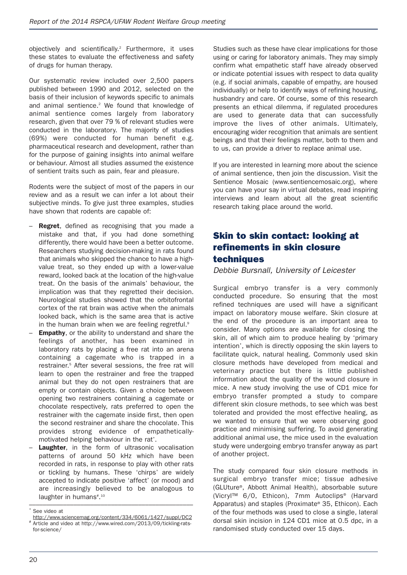objectively and scientifically. <sup>2</sup> Furthermore, it uses these states to evaluate the effectiveness and safety of drugs for human therapy.

Our systematic review included over 2,500 papers published between 1990 and 2012, selected on the basis of their inclusion of keywords specific to animals and animal sentience. <sup>2</sup> We found that knowledge of animal sentience comes largely from laboratory research, given that over 79 % of relevant studies were conducted in the laboratory. The majority of studies (69%) were conducted for human benefit e.g. pharmaceutical research and development, rather than for the purpose of gaining insights into animal welfare or behaviour. Almost all studies assumed the existence of sentient traits such as pain, fear and pleasure.

Rodents were the subject of most of the papers in our review and as a result we can infer a lot about their subjective minds. To give just three examples, studies have shown that rodents are capable of:

- **Regret**, defined as recognising that you made a mistake and that, if you had done something differently, there would have been a better outcome. Researchers studying decision-making in rats found that animals who skipped the chance to have a highvalue treat, so they ended up with a lower-value reward, looked back at the location of the high-value treat. On the basis of the animals' behaviour, the implication was that they regretted their decision. Neurological studies showed that the orbitofrontal cortex of the rat brain was active when the animals looked back, which is the same area that is active in the human brain when we are feeling regretful.<sup>9</sup>
- **Empathy**, or the ability to understand and share the feelings of another, has been examined in laboratory rats by placing a free rat into an arena containing a cagemate who is trapped in a restrainer. <sup>5</sup> After several sessions, the free rat will learn to open the restrainer and free the trapped animal but they do not open restrainers that are empty or contain objects. Given a choice between opening two restrainers containing a cagemate or chocolate respectively, rats preferred to open the restrainer with the cagemate inside first, then open the second restrainer and share the chocolate. This provides strong evidence of empatheticallymotivated helping behaviour in the rat<sup>\*</sup>.
- **Laughter**, in the form of ultrasonic vocalisation patterns of around 50 kHz which have been recorded in rats, in response to play with other rats or tickling by humans. These 'chirps' are widely accepted to indicate positive 'affect' (or mood) and are increasingly believed to be analogous to laughter in humans<sup>#10</sup> ––––––––––––––––––––––––––––––––––––––––––––––––

Studies such as these have clear implications for those using or caring for laboratory animals. They may simply confirm what empathetic staff have already observed or indicate potential issues with respect to data quality (e.g. if social animals, capable of empathy, are housed individually) or help to identify ways of refining housing, husbandry and care. Of course, some of this research presents an ethical dilemma, if regulated procedures are used to generate data that can successfully improve the lives of other animals. Ultimately, encouraging wider recognition that animals are sentient beings and that their feelings matter, both to them and to us, can provide a driver to replace animal use.

If you are interested in learning more about the science of animal sentience, then join the discussion. Visit the Sentience Mosaic (www.sentiencemosaic.org), where you can have your say in virtual debates, read inspiring interviews and learn about all the great scientific research taking place around the world.

# **Skin to skin contact: looking at refinements in skin closure techniques**

### *Debbie Bursnall, University of Leicester*

Surgical embryo transfer is a very commonly conducted procedure. So ensuring that the most refined techniques are used will have a significant impact on laboratory mouse welfare. Skin closure at the end of the procedure is an important area to consider. Many options are available for closing the skin, all of which aim to produce healing by 'primary intention', which is directly opposing the skin layers to facilitate quick, natural healing. Commonly used skin closure methods have developed from medical and veterinary practice but there is little published information about the quality of the wound closure in mice. A new study involving the use of CD1 mice for embryo transfer prompted a study to compare different skin closure methods, to see which was best tolerated and provided the most effective healing, as we wanted to ensure that we were observing good practice and minimising suffering. To avoid generating additional animal use, the mice used in the evaluation study were undergoing embryo transfer anyway as part of another project.

The study compared four skin closure methods in surgical embryo transfer mice; tissue adhesive (GLUture®, Abbott Animal Health), absorbable suture (Vicr yl™ 6/0, Ethicon), 7mm Autoclips® (Harvard Apparatus) and staples (Proximate® 35, Ethicon). Each of the four methods was used to close a single, lateral dorsal skin incision in 124 CD1 mice at 0.5 dpc, in a randomised study conducted over 15 days.

See video at

http://www.sciencemag.org/content/334/6061/1427/suppl/DC2 Article and video at http://www.wired.com/2013/09/tickling-ratsfor-science/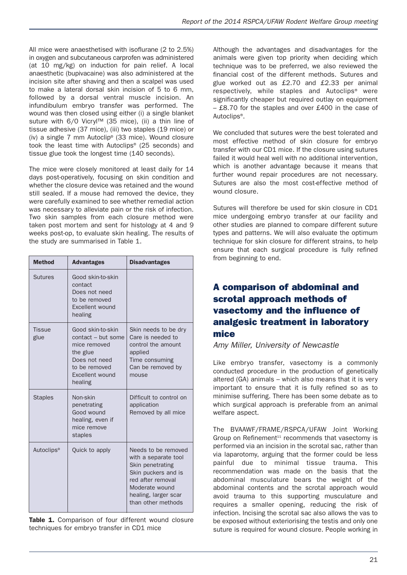All mice were anaesthetised with isoflurane (2 to 2.5%) in oxygen and subcutaneous carprofen was administered (at 10 mg/kg) on induction for pain relief. A local anaesthetic (bupivacaine) was also administered at the incision site after shaving and then a scalpel was used to make a lateral dorsal skin incision of 5 to 6 mm, followed by a dorsal ventral muscle incision. An infundibulum embryo transfer was performed. The wound was then closed using either (i) a single blanket suture with 6/0 Vicryl™ (35 mice), (ii) a thin line of tissue adhesive (37 mice), (iii) two staples (19 mice) or (iv) a single 7 mm Autoclip® (33 mice). Wound closure took the least time with Autoclips® (25 seconds) and tissue glue took the longest time (140 seconds).

The mice were closely monitored at least daily for 14 days post-operatively, focusing on skin condition and whether the closure device was retained and the wound still sealed. If a mouse had removed the device, they were carefully examined to see whether remedial action was necessary to alleviate pain or the risk of infection. Two skin samples from each closure method were taken post mortem and sent for histology at 4 and 9 weeks post-op, to evaluate skin healing. The results of the study are summarised in Table 1.

| <b>Method</b>          | <b>Advantages</b>                                                                                                                   | <b>Disadvantages</b>                                                                                                                                                        |
|------------------------|-------------------------------------------------------------------------------------------------------------------------------------|-----------------------------------------------------------------------------------------------------------------------------------------------------------------------------|
| Sutures                | Good skin-to-skin<br>contact<br>Does not need<br>to be removed<br>Excellent wound<br>healing                                        |                                                                                                                                                                             |
| <b>Tissue</b><br>glue  | Good skin-to-skin<br>contact - but some<br>mice removed<br>the glue<br>Does not need<br>to be removed<br>Excellent wound<br>healing | Skin needs to be dry<br>Care is needed to<br>control the amount<br>applied<br>Time consuming<br>Can be removed by<br>mouse                                                  |
| <b>Staples</b>         | Non-skin<br>penetrating<br>Good wound<br>healing, even if<br>mice remove<br>staples                                                 | Difficult to control on<br>application<br>Removed by all mice                                                                                                               |
| Autoclips <sup>®</sup> | Quick to apply                                                                                                                      | Needs to be removed<br>with a separate tool<br>Skin penetrating<br>Skin puckers and is<br>red after removal<br>Moderate wound<br>healing, larger scar<br>than other methods |

**Table 1.** Comparison of four different wound closure techniques for embryo transfer in CD1 mice

Although the advantages and disadvantages for the animals were given top priority when deciding which technique was to be preferred, we also reviewed the financial cost of the different methods. Sutures and glue worked out as £2.70 and £2.33 per animal respectively, while staples and Autoclips® were significantly cheaper but required outlay on equipment – £8.70 for the staples and over £400 in the case of Autoclips®.

We concluded that sutures were the best tolerated and most effective method of skin closure for embryo transfer with our CD1 mice. If the closure using sutures failed it would heal well with no additional intervention, which is another advantage because it means that further wound repair procedures are not necessary. Sutures are also the most cost-effective method of wound closure.

Sutures will therefore be used for skin closure in CD1 mice undergoing embryo transfer at our facility and other studies are planned to compare different suture types and patterns. We will also evaluate the optimum technique for skin closure for different strains, to help ensure that each surgical procedure is fully refined from beginning to end.

# **A comparison of abdominal and scrotal approach methods of vasectomy and the influence of analgesic treatment in laboratory mice**

### *Amy Miller, University of Newcastle*

Like embryo transfer, vasectomy is a commonly conducted procedure in the production of genetically altered (GA) animals – which also means that it is very important to ensure that it is fully refined so as to minimise suffering. There has been some debate as to which surgical approach is preferable from an animal welfare aspect.

The BVAAWF/FRAME/RSPCA/UFAW Joint Working Group on Refinement<sup>11</sup> recommends that vasectomy is performed via an incision in the scrotal sac, rather than via laparotomy, arguing that the former could be less painful due to minimal tissue trauma. This recommendation was made on the basis that the abdominal musculature bears the weight of the abdominal contents and the scrotal approach would avoid trauma to this supporting musculature and requires a smaller opening, reducing the risk of infection. Incising the scrotal sac also allows the vas to be exposed without exteriorising the testis and only one suture is required for wound closure. People working in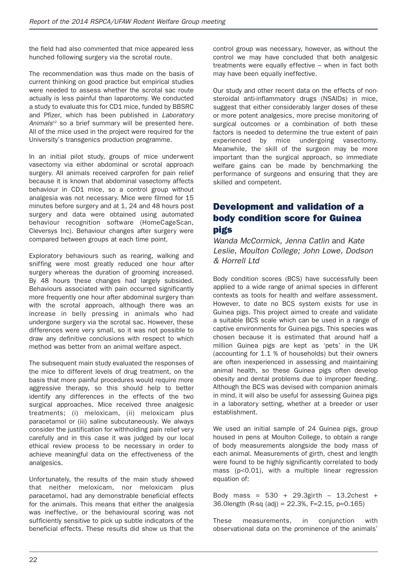the field had also commented that mice appeared less hunched following surgery via the scrotal route.

The recommendation was thus made on the basis of current thinking on good practice but empirical studies were needed to assess whether the scrotal sac route actually is less painful than laparotomy. We conducted a study to evaluate this for CD1 mice, funded by BBSRC and Pfizer, which has been published in *Laboratory Animals*<sup>12</sup> so a brief summary will be presented here. All of the mice used in the project were required for the University's transgenics production programme.

In an initial pilot study, groups of mice underwent vasectomy via either abdominal or scrotal approach surgery. All animals received carprofen for pain relief because it is known that abdominal vasectomy affects behaviour in CD1 mice, so a control group without analgesia was not necessary. Mice were filmed for 15 minutes before surgery and at 1, 24 and 48 hours post surgery and data were obtained using automated behaviour recognition software (HomeCageScan, Cleversys Inc). Behaviour changes after surgery were compared between groups at each time point.

Exploratory behaviours such as rearing, walking and sniffing were most greatly reduced one hour after surgery whereas the duration of grooming increased. By 48 hours these changes had largely subsided. Behaviours associated with pain occurred significantly more frequently one hour after abdominal surgery than with the scrotal approach, although there was an increase in belly pressing in animals who had undergone surgery via the scrotal sac. However, these differences were very small, so it was not possible to draw any definitive conclusions with respect to which method was better from an animal welfare aspect.

The subsequent main study evaluated the responses of the mice to different levels of drug treatment, on the basis that more painful procedures would require more aggressive therapy, so this should help to better identify any differences in the effects of the two surgical approaches. Mice received three analgesic treatments; (i) meloxicam, (ii) meloxicam plus paracetamol or (iii) saline subcutaneously. We always consider the justification for withholding pain relief very carefully and in this case it was judged by our local ethical review process to be necessary in order to achieve meaningful data on the effectiveness of the analgesics.

Unfortunately, the results of the main study showed that neither meloxicam, nor meloxicam plus paracetamol, had any demonstrable beneficial effects for the animals. This means that either the analgesia was ineffective, or the behavioural scoring was not sufficiently sensitive to pick up subtle indicators of the beneficial effects. These results did show us that the

control group was necessary, however, as without the control we may have concluded that both analgesic treatments were equally effective – when in fact both may have been equally ineffective.

Our study and other recent data on the effects of nonsteroidal anti-inflammatory drugs (NSAIDs) in mice, suggest that either considerably larger doses of these or more potent analgesics, more precise monitoring of surgical outcomes or a combination of both these factors is needed to determine the true extent of pain experienced by mice undergoing vasectomy. Meanwhile, the skill of the surgeon may be more important than the surgical approach, so immediate welfare gains can be made by benchmarking the performance of surgeons and ensuring that they are skilled and competent.

# **Development and validation of a body condition score for Guinea pigs**

*Wanda McCormick, Jenna Catlin* and *Kate Leslie, Moulton College; John Lowe, Dodson & Horrell Ltd*

Body condition scores (BCS) have successfully been applied to a wide range of animal species in different contexts as tools for health and welfare assessment. However, to date no BCS system exists for use in Guinea pigs. This project aimed to create and validate a suitable BCS scale which can be used in a range of captive environments for Guinea pigs. This species was chosen because it is estimated that around half a million Guinea pigs are kept as 'pets' in the UK (accounting for 1.1 % of households) but their owners are often inexperienced in assessing and maintaining animal health, so these Guinea pigs often develop obesity and dental problems due to improper feeding. Although the BCS was devised with companion animals in mind, it will also be useful for assessing Guinea pigs in a laboratory setting, whether at a breeder or user establishment.

We used an initial sample of 24 Guinea pigs, group housed in pens at Moulton College, to obtain a range of body measurements alongside the body mass of each animal. Measurements of girth, chest and length were found to be highly significantly correlated to body mass (p<0.01), with a multiple linear regression equation of:

Body mass = 530 + 29.3girth – 13.2chest + 36.0length (R-sq (adj) = 22.3%, F=2.15, p=0.165)

These measurements, in conjunction with observational data on the prominence of the animals'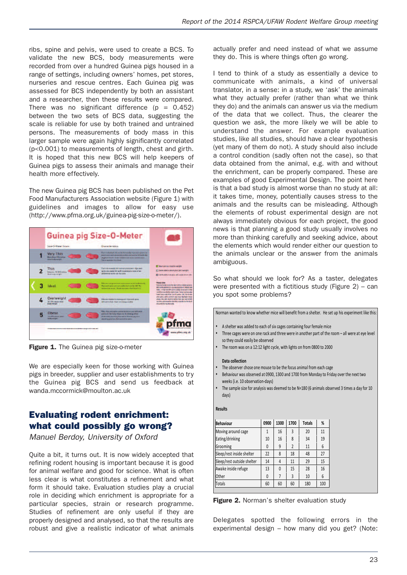ribs, spine and pelvis, were used to create a BCS. To validate the new BCS, body measurements were recorded from over a hundred Guinea pigs housed in a range of settings, including owners' homes, pet stores, nurseries and rescue centres. Each Guinea pig was assessed for BCS independently by both an assistant and a researcher, then these results were compared. There was no significant difference ( $p = 0.452$ ) between the two sets of BCS data, suggesting the scale is reliable for use by both trained and untrained persons. The measurements of body mass in this larger sample were again highly significantly correlated (p<0.001) to measurements of length, chest and girth. It is hoped that this new BCS will help keepers of Guinea pigs to assess their animals and manage their health more effectively.

The new Guinea pig BCS has been published on the Pet Food Manufacturers Association website (Figure 1) with guidelines and images to allow for easy use (http://www.pfma.org.uk/guinea-pig-size-o-meter/).



**Figure 1.** The Guinea pig size-o-meter

We are especially keen for those working with Guinea pigs in breeder, supplier and user establishments to try the Guinea pig BCS and send us feedback at wanda.mccormick@moulton.ac.uk

# **Evaluating rodent enrichment: what could possibly go wrong?**

*Manuel Berdoy, University of Oxford*

Quite a bit, it turns out. It is now widely accepted that refining rodent housing is important because it is good for animal welfare and good for science. What is often less clear is what constitutes a refinement and what form it should take. Evaluation studies play a crucial role in deciding which enrichment is appropriate for a particular species, strain or research programme. Studies of refinement are only useful if they are properly designed and analysed, so that the results are robust and give a realistic indicator of what animals actually prefer and need instead of what we assume they do. This is where things often go wrong.

I tend to think of a study as essentially a device to communicate with animals, a kind of universal translator, in a sense: in a study, we 'ask' the animals what they actually prefer (rather than what we think they do) and the animals can answer us via the medium of the data that we collect. Thus, the clearer the question we ask, the more likely we will be able to understand the answer. For example evaluation studies, like all studies, should have a clear hypothesis (yet many of them do not). A study should also include a control condition (sadly often not the case), so that data obtained from the animal, e.g. with and without the enrichment, can be properly compared. These are examples of good Experimental Design. The point here is that a bad study is almost worse than no study at all: it takes time, money, potentially causes stress to the animals and the results can be misleading. Although the elements of robust experimental design are not always immediately obvious for each project, the good news is that planning a good study usually involves no more than thinking carefully and seeking advice, about the elements which would render either our question to the animals unclear or the answer from the animals ambiguous.

So what should we look for? As a taster, delegates were presented with a fictitious study (Figure 2) – can you spot some problems?

Norman wanted to know whether mice will benefit from a shelter. He set up his experiment like this:

- A shelter was added to each of six cages containing four female mice
- Three cages were on one rack and three were in another part of the room all were at eye level so they could easily be observed
- The room was on a 12:12 light cycle, with lights on from 0800 to 2000

#### **Data collection**

- The observer chose one mouse to be the focus animal from each cage
- Behaviour was observed at 0900, 1300 and 1700 from Monday to Friday over the next two weeks (i.e. 10 observation-days)
- The sample size for analysis was deemed to be N=180 (6 animals observed 3 times a day for 10 days)

#### $Results$

| <b>Behaviour</b>           | 0900 | 1300 | 1700           | <b>Totals</b> | %   |
|----------------------------|------|------|----------------|---------------|-----|
| Moving around cage         | 1    | 16   | 3              | 20            | 11  |
| Eating/drinking            | 10   | 16   | 8              | 34            | 19  |
| Grooming                   | 0    | 9    | $\overline{2}$ | 11            | 6   |
| Sleep/rest inside shelter  | 22   | 8    | 18             | 48            | 27  |
| Sleep/rest outside shelter | 14   | 4    | 11             | 29            | 15  |
| Awake inside refuge        | 13   | 0    | 15             | 28            | 16  |
| Other                      | 0    | 7    | $\overline{3}$ | 10            | 6   |
| <b>Totals</b>              | 60   | 60   | 60             | 180           | 100 |

**Figure 2.** Norman's shelter evaluation study

Delegates spotted the following errors in the experimental design – how many did you get? (Note: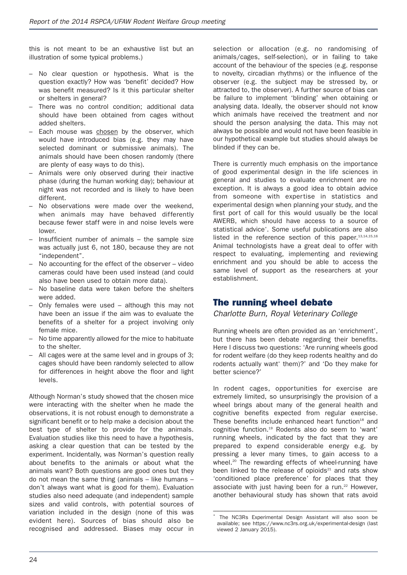this is not meant to be an exhaustive list but an illustration of some typical problems.)

- No clear question or hypothesis. What is the question exactly? How was 'benefit' decided? How was benefit measured? Is it this particular shelter or shelters in general?
- There was no control condition; additional data should have been obtained from cages without added shelters.
- Each mouse was chosen by the observer, which would have introduced bias (e.g. they may have selected dominant or submissive animals). The animals should have been chosen randomly (there are plenty of easy ways to do this).
- Animals were only observed during their inactive phase (during the human working day); behaviour at night was not recorded and is likely to have been different.
- No observations were made over the weekend, when animals may have behaved differently because fewer staff were in and noise levels were lower.
- Insufficient number of animals  $-$  the sample size was actually just 6, not 180, because they are not "independent".
- No accounting for the effect of the observer video cameras could have been used instead (and could also have been used to obtain more data).
- No baseline data were taken before the shelters were added.
- Only females were used although this may not have been an issue if the aim was to evaluate the benefits of a shelter for a project involving only female mice.
- No time apparently allowed for the mice to habituate to the shelter.
- All cages were at the same level and in groups of 3; cages should have been randomly selected to allow for differences in height above the floor and light levels.

Although Norman's study showed that the chosen mice were interacting with the shelter when he made the observations, it is not robust enough to demonstrate a significant benefit or to help make a decision about the best type of shelter to provide for the animals. Evaluation studies like this need to have a hypothesis, asking a clear question that can be tested by the experiment. Incidentally, was Norman's question really about benefits to the animals or about what the animals want? Both questions are good ones but they do not mean the same thing (animals – like humans – don't always want what is good for them). Evaluation studies also need adequate (and independent) sample sizes and valid controls, with potential sources of variation included in the design (none of this was evident here). Sources of bias should also be recognised and addressed. Biases may occur in

selection or allocation (e.g. no randomising of animals/cages, self-selection), or in failing to take account of the behaviour of the species (e.g. response to novelty, circadian rhythms) or the influence of the observer (e.g. the subject may be stressed by, or attracted to, the observer). A further source of bias can be failure to implement 'blinding' when obtaining or analysing data. Ideally, the observer should not know which animals have received the treatment and nor should the person analysing the data. This may not always be possible and would not have been feasible in our hypothetical example but studies should always be blinded if they can be.

There is currently much emphasis on the importance of good experimental design in the life sciences in general and studies to evaluate enrichment are no exception. It is always a good idea to obtain advice from someone with expertise in statistics and experimental design when planning your study, and the first port of call for this would usually be the local AWERB, which should have access to a source of statistical advice\* . Some useful publications are also listed in the reference section of this paper.  $13,14,15,16$ Animal technologists have a great deal to offer with respect to evaluating, implementing and reviewing enrichment and you should be able to access the same level of support as the researchers at your establishment.

### **The running wheel debate**

*Charlotte Burn, Royal Veterinary College*

Running wheels are often provided as an 'enrichment', but there has been debate regarding their benefits. Here I discuss two questions: 'Are running wheels good for rodent welfare (do they keep rodents healthy and do rodents actually want \* them)?' and 'Do they make for better science?'

In rodent cages, opportunities for exercise are extremely limited, so unsurprisingly the provision of a wheel brings about many of the general health and cognitive benefits expected from regular exercise. These benefits include enhanced heart function<sup>18</sup> and cognitive function. <sup>19</sup> Rodents also do seem to 'want' running wheels, indicated by the fact that they are prepared to expend considerable energy e.g. by pressing a lever many times, to gain access to a wheel.<sup>20</sup> The rewarding effects of wheel-running have been linked to the release of opioids $21$  and rats show 'conditioned place preference' for places that they associate with just having been for a run.<sup>22</sup> However, another behavioural study has shown that rats avoid

––––––––––––––––––––––––––––––––––––––––––––––––

The NC3Rs Experimental Design Assistant will also soon be available; see https://www.nc3rs.org.uk/experimental-design (last viewed 2 January 2015).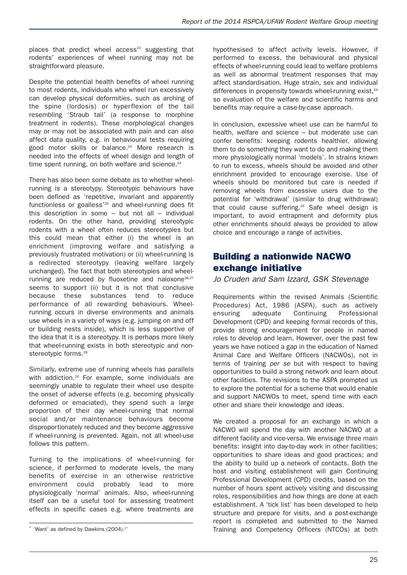places that predict wheel  $access^{23}$  suggesting that rodents' experiences of wheel running may not be straightforward pleasure.

Despite the potential health benefits of wheel running to most rodents, individuals who wheel run excessively can develop physical deformities, such as arching of the spine (lordosis) or hyperflexion of the tail resembling 'Straub tail' (a response to morphine treatment in rodents). These morphological changes may or may not be associated with pain and can also affect data quality, e.g. in behavioural tests requiring good motor skills or balance. <sup>24</sup> More research is needed into the effects of wheel design and length of time spent running, on both welfare and science.<sup>24</sup>

There has also been some debate as to whether wheelrunning is a stereotypy. Stereotypic behaviours have been defined as 'repetitive, invariant and apparently functionless or goalless'<sup>25</sup> and wheel-running does fit this description in some – but not all – individual rodents. On the other hand, providing stereotypic rodents with a wheel often reduces stereotypies but this could mean that either (i) the wheel is an enrichment (improving welfare and satisfying a previously frustrated motivation) or (ii) wheel-running is a redirected stereotypy (leaving welfare largely unchanged). The fact that both stereotypies and wheelrunning are reduced by fluoxetine and naloxone<sup>26,27</sup> seems to support (ii) but it is not that conclusive because these substances tend to reduce performance of all rewarding behaviours. Wheelrunning occurs in diverse environments and animals use wheels in a variety of ways (e.g. jumping on and off or building nests inside), which is less supportive of the idea that it is a stereotypy. It is perhaps more likely that wheel-running exists in both stereotypic and nonstereotypic forms.<sup>26</sup>

Similarly, extreme use of running wheels has parallels with addiction.<sup>24</sup> For example, some individuals are seemingly unable to regulate their wheel use despite the onset of adverse effects (e.g. becoming physically deformed or emaciated), they spend such a large proportion of their day wheel-running that normal social and/or maintenance behaviours become disproportionately reduced and they become aggressive if wheel-running is prevented. Again, not all wheel-use follows this pattern.

Turning to the implications of wheel-running for science, if performed to moderate levels, the many benefits of exercise in an otherwise restrictive environment could probably lead to more physiologically 'normal' animals. Also, wheel-running itself can be a useful tool for assessing treatment effects in specific cases e.g. where treatments are

hypothesised to affect activity levels. However, if performed to excess, the behavioural and physical effects of wheel-running could lead to welfare problems as well as abnormal treatment responses that may affect standardisation. Huge strain, sex and individual differences in propensity towards wheel-running exist.<sup>24</sup> so evaluation of the welfare and scientific harms and benefits may require a case-by-case approach.

In conclusion, excessive wheel use can be harmful to health, welfare and science – but moderate use can confer benefits: keeping rodents healthier, allowing them to do something they want to do and making them more physiologically normal 'models'. In strains known to run to excess, wheels should be avoided and other enrichment provided to encourage exercise. Use of wheels should be monitored but care is needed if removing wheels from excessive users due to the potential for 'withdrawal' (similar to drug withdrawal) that could cause suffering. <sup>24</sup> Safe wheel design is important, to avoid entrapment and deformity plus other enrichments should always be provided to allow choice and encourage a range of activities.

# **Building a nationwide NACWO exchange initiative**

*Jo Cruden and Sam Izzard, GSK Stevenage*

Requirements within the revised Animals (Scientific Procedures) Act, 1986 (ASPA), such as actively ensuring adequate Continuing Professional Development (CPD) and keeping formal records of this, provide strong encouragement for people in named roles to develop and learn. However, over the past few years we have noticed a gap in the education of Named Animal Care and Welfare Officers (NACWOs), not in terms of training *per se* but with respect to having opportunities to build a strong network and learn about other facilities. The revisions to the ASPA prompted us to explore the potential for a scheme that would enable and support NACWOs to meet, spend time with each other and share their knowledge and ideas.

We created a proposal for an exchange in which a NACWO will spend the day with another NACWO at a different facility and vice-versa. We envisage three main benefits: insight into day-to-day work in other facilities; opportunities to share ideas and good practices; and the ability to build up a network of contacts. Both the host and visiting establishment will gain Continuing Professional Development (CPD) credits, based on the number of hours spent actively visiting and discussing roles, responsibilities and how things are done at each establishment. A 'tick list' has been developed to help structure and prepare for visits, and a post-exchange report is completed and submitted to the Named Training and Competency Officers (NTCOs) at both

<sup>\* &#</sup>x27;Want' as defined by Dawkins  $(2004).^{17}$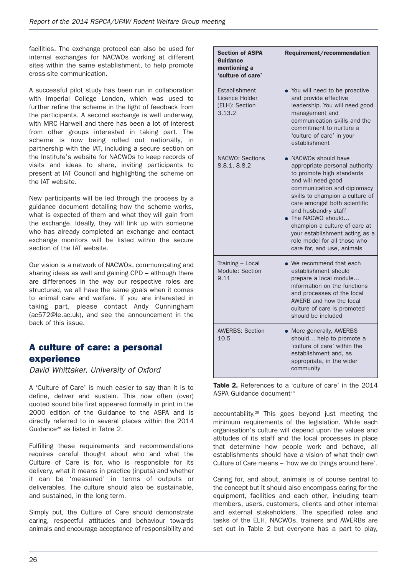facilities. The exchange protocol can also be used for internal exchanges for NACWOs working at different sites within the same establishment, to help promote cross-site communication.

A successful pilot study has been run in collaboration with Imperial College London, which was used to further refine the scheme in the light of feedback from the participants. A second exchange is well underway, with MRC Harwell and there has been a lot of interest from other groups interested in taking part. The scheme is now being rolled out nationally, in partnership with the IAT, including a secure section on the Institute's website for NACWOs to keep records of visits and ideas to share, inviting participants to present at IAT Council and highlighting the scheme on the IAT website.

New participants will be led through the process by a guidance document detailing how the scheme works, what is expected of them and what they will gain from the exchange. Ideally, they will link up with someone who has already completed an exchange and contact exchange monitors will be listed within the secure section of the IAT website.

Our vision is a network of NACWOs, communicating and sharing ideas as well and gaining CPD – although there are differences in the way our respective roles are structured, we all have the same goals when it comes to animal care and welfare. If you are interested in taking part, please contact Andy Cunningham (ac572@le.ac.uk), and see the announcement in the back of this issue.

# **A culture of care: a personal experience**

*David Whittaker, University of Oxford*

A 'Culture of Care' is much easier to say than it is to define, deliver and sustain. This now often (over) quoted sound bite first appeared formally in print in the 2000 edition of the Guidance to the ASPA and is directly referred to in several places within the 2014 Guidance<sup>28</sup> as listed in Table 2.

Fulfilling these requirements and recommendations requires careful thought about who and what the Culture of Care is for, who is responsible for its delivery, what it means in practice (inputs) and whether it can be 'measured' in terms of outputs or deliverables. The culture should also be sustainable, and sustained, in the long term.

Simply put, the Culture of Care should demonstrate caring, respectful attitudes and behaviour towards animals and encourage acceptance of responsibility and

| <b>Section of ASPA</b><br><b>Guidance</b><br>mentioning a<br>'culture of care' | Requirement/recommendation                                                                                                                                                                                                                                                                                                                                                              |  |  |
|--------------------------------------------------------------------------------|-----------------------------------------------------------------------------------------------------------------------------------------------------------------------------------------------------------------------------------------------------------------------------------------------------------------------------------------------------------------------------------------|--|--|
| Establishment<br>Licence Holder<br>(ELH): Section<br>3.13.2                    | You will need to be proactive<br>and provide effective<br>leadership. You will need good<br>management and<br>communication skills and the<br>commitment to nurture a<br>'culture of care' in your<br>establishment                                                                                                                                                                     |  |  |
| <b>NACWO: Sections</b><br>8.8.1, 8.8.2                                         | NACWOS should have<br>appropriate personal authority<br>to promote high standards<br>and will need good<br>communication and diplomacy<br>skills to champion a culture of<br>care amongst both scientific<br>and husbandry staff<br>• The NACWO should<br>champion a culture of care at<br>your establishment acting as a<br>role model for all those who<br>care for, and use, animals |  |  |
| Training - Local<br>Module: Section<br>9.11                                    | $\bullet$ We recommend that each<br>establishment should<br>prepare a local module<br>information on the functions<br>and processes of the local<br>AWERB and how the local<br>culture of care is promoted<br>should be included                                                                                                                                                        |  |  |
| <b>AWERBS: Section</b><br>10.5                                                 | More generally, AWERBS<br>should help to promote a<br>'culture of care' within the<br>establishment and, as<br>appropriate, in the wider<br>community                                                                                                                                                                                                                                   |  |  |

**Table 2.** References to a 'culture of care' in the 2014 ASPA Guidance document<sup>28</sup>

accountability. <sup>29</sup> This goes beyond just meeting the minimum requirements of the legislation. While each organisation's culture will depend upon the values and attitudes of its staff and the local processes in place that determine how people work and behave, all establishments should have a vision of what their own Culture of Care means – 'how we do things around here'.

Caring for, and about, animals is of course central to the concept but it should also encompass caring for the equipment, facilities and each other, including team members, users, customers, clients and other internal and external stakeholders. The specified roles and tasks of the ELH, NACWOs, trainers and AWERBs are set out in Table 2 but everyone has a part to play,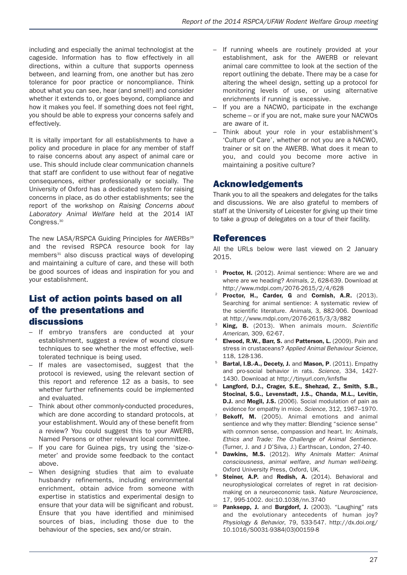including and especially the animal technologist at the cageside. Information has to flow effectively in all directions, within a culture that supports openness between, and learning from, one another but has zero tolerance for poor practice or noncompliance. Think about what you can see, hear (and smell!) and consider whether it extends to, or goes beyond, compliance and how it makes you feel. If something does not feel right, you should be able to express your concerns safely and effectively.

It is vitally important for all establishments to have a policy and procedure in place for any member of staff to raise concerns about any aspect of animal care or use. This should include clear communication channels that staff are confident to use without fear of negative consequences, either professionally or socially. The University of Oxford has a dedicated system for raising concerns in place, as do other establishments; see the report of the workshop on *Raising Concerns about Laboratory Animal Welfare* held at the 2014 IAT Congress.<sup>30</sup>

The new LASA/RSPCA Guiding Principles for AWERBs<sup>29</sup> and the revised RSPCA resource book for lay members<sup>31</sup> also discuss practical ways of developing and maintaining a culture of care, and these will both be good sources of ideas and inspiration for you and your establishment.

### **List of action points based on all of the presentations and discussions**

- If embryo transfers are conducted at your establishment, suggest a review of wound closure techniques to see whether the most effective, welltolerated technique is being used.
- If males are vasectomised, suggest that the protocol is reviewed, using the relevant section of this report and reference 12 as a basis, to see whether further refinements could be implemented and evaluated.
- Think about other commonly-conducted procedures, which are done according to standard protocols, at your establishment. Would any of these benefit from a review? You could suggest this to your AWERB, Named Persons or other relevant local committee.
- If you care for Guinea pigs, try using the 'size-ometer' and provide some feedback to the contact above.
- When designing studies that aim to evaluate husbandry refinements, including environmental enrichment, obtain advice from someone with expertise in statistics and experimental design to ensure that your data will be significant and robust. Ensure that you have identified and minimised sources of bias, including those due to the behaviour of the species, sex and/or strain.
- If running wheels are routinely provided at your establishment, ask for the AWERB or relevant animal care committee to look at the section of the report outlining the debate. There may be a case for altering the wheel design, setting up a protocol for monitoring levels of use, or using alternative enrichments if running is excessive.
- If you are a NACWO, participate in the exchange scheme – or if you are not, make sure your NACWOs are aware of it.
- Think about your role in your establishment's 'Culture of Care', whether or not you are a NACWO, trainer or sit on the AWERB. What does it mean to you, and could you become more active in maintaining a positive culture?

### **Acknowledgements**

Thank you to all the speakers and delegates for the talks and discussions. We are also grateful to members of staff at the University of Leicester for giving up their time to take a group of delegates on a tour of their facility.

### **References**

All the URLs below were last viewed on 2 January 2015.

- <sup>1</sup> **Proctor, H.** (2012). Animal sentience: Where are we and where are we heading? *Animals*, 2, 628-639. Download at http://www.mdpi.com/2076-2615/2/4/628
- <sup>22</sup> **Proctor, H., Carder, G** and **Cornish, A.R.** (2013). Searching for animal sentience: A systematic review of the scientific literature. *Animals,* 3, 882-906. Download at http://www.mdpi.com/2076-2615/3/3/882
- <sup>23</sup> **King, B.** (2013). When animals mourn. *Scientific American,* 309, 62-67.
- <sup>24</sup> **Elwood, R.W., Barr, S.** and **Patterson, L.** (2009). Pain and stress in crustaceans? *Applied Animal Behaviour Science,* 118, 128-136.
- <sup>25</sup> **Bartal, I.B.-A., Decety, J.** and **Mason, P**. (2011). Empathy and pro-social behavior in rats. *Science,* 334, 1427- 1430. Download at http://tinyurl.com/knfsflw
- <sup>26</sup> **Langford, D.J., Crager, S.E., Shehzad, Z., Smith, S.B., Stocinal, S.G., Levenstadt, J.S., Chanda, M.L., Levitin, D.J.** and **Mogil, J.S.** (2006). Social modulation of pain as evidence for empathy in mice. *Science,* 312, 1967–1970.
- <sup>27</sup> **Bekoff, M.** (2005). Animal emotions and animal sentience and why they matter: Blending "science sense" with common sense, compassion and heart. In: *Animals, Ethics and Trade: The Challenge of Animal Sentience.* (Turner, J. and J D'Silva, J.) Earthscan, London, 27-40.
- <sup>28</sup> **Dawkins, M.S.** (2012). *Why Animals Matter: Animal consciousness, animal welfare, and human well-being*. Oxford University Press, Oxford, UK.
- <sup>29</sup> **Steiner, A.P.** and **Redish, A.** (2014). Behavioral and neurophysiological correlates of regret in rat decisionmaking on a neuroeconomic task. *Nature Neuroscience*, 17, 995-1002. doi:10.1038/nn.3740
- <sup>10</sup> **Panksepp, J.** and **Burgdorf, J.** (2003). "Laughing" rats and the evolutionary antecedents of human joy? *Physiology & Behavior*, 79, 533-547. http://dx.doi.org/ 10.1016/S0031-9384(03)00159-8